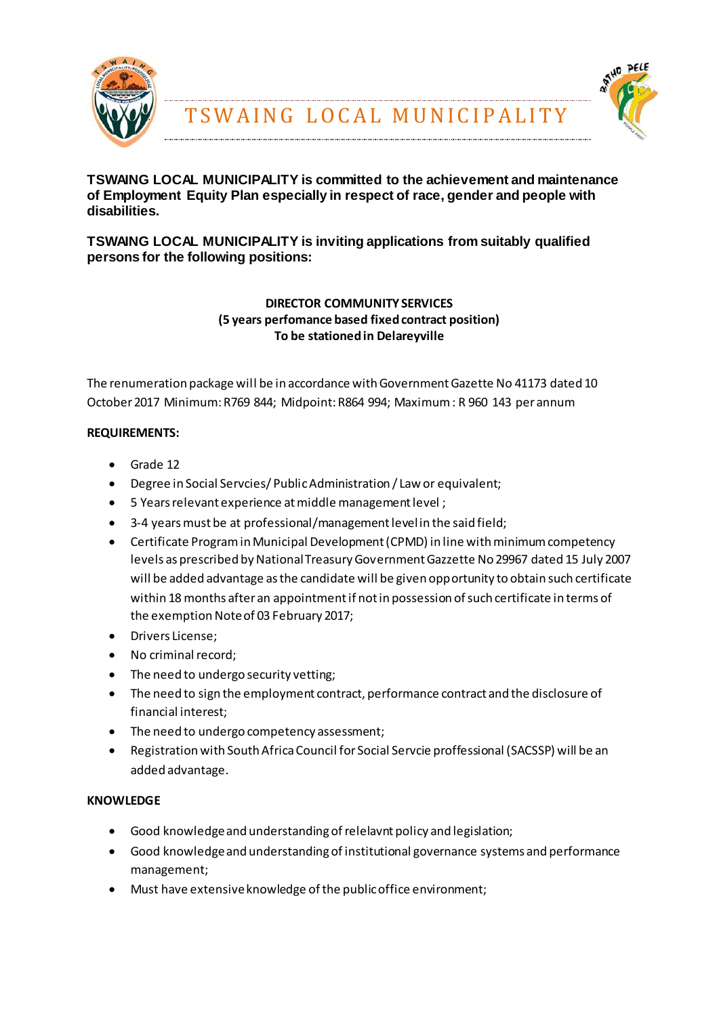



### **TSWAING LOCAL MUNICIPALITY is committed to the achievement and maintenance of Employment Equity Plan especially in respect of race, gender and people with disabilities.**

# **TSWAING LOCAL MUNICIPALITY is inviting applications from suitably qualified persons for the following positions:**

# **DIRECTOR COMMUNITY SERVICES (5 years perfomance based fixed contract position) To be stationed in Delareyville**

The renumeration package will be in accordance with Government Gazette No 41173 dated 10 October 2017 Minimum: R769 844; Midpoint: R864 994; Maximum : R 960 143 per annum

# **REQUIREMENTS:**

- Grade 12
- Degree in Social Servcies/ Public Administration / Law or equivalent;
- 5 Years relevant experience at middle management level ;
- 3-4 years must be at professional/management level in the said field;
- Certificate Program in Municipal Development (CPMD) in line with minimum competency levels as prescribed by National Treasury Government Gazzette No 29967 dated 15 July 2007 will be added advantage as the candidate will be given opportunity to obtain such certificate within 18 months after an appointment if not in possession of such certificate in terms of the exemption Note of 03 February 2017;
- Drivers License;
- No criminal record;
- The need to undergo security vetting;
- The need to sign the employment contract, performance contract and the disclosure of financial interest;
- The need to undergo competency assessment;
- Registration with South Africa Council for Social Servcie proffessional (SACSSP) will be an added advantage.

#### **KNOWLEDGE**

- Good knowledge and understanding of relelavnt policy and legislation;
- Good knowledge and understanding of institutional governance systems and performance management;
- Must have extensive knowledge of the public office environment;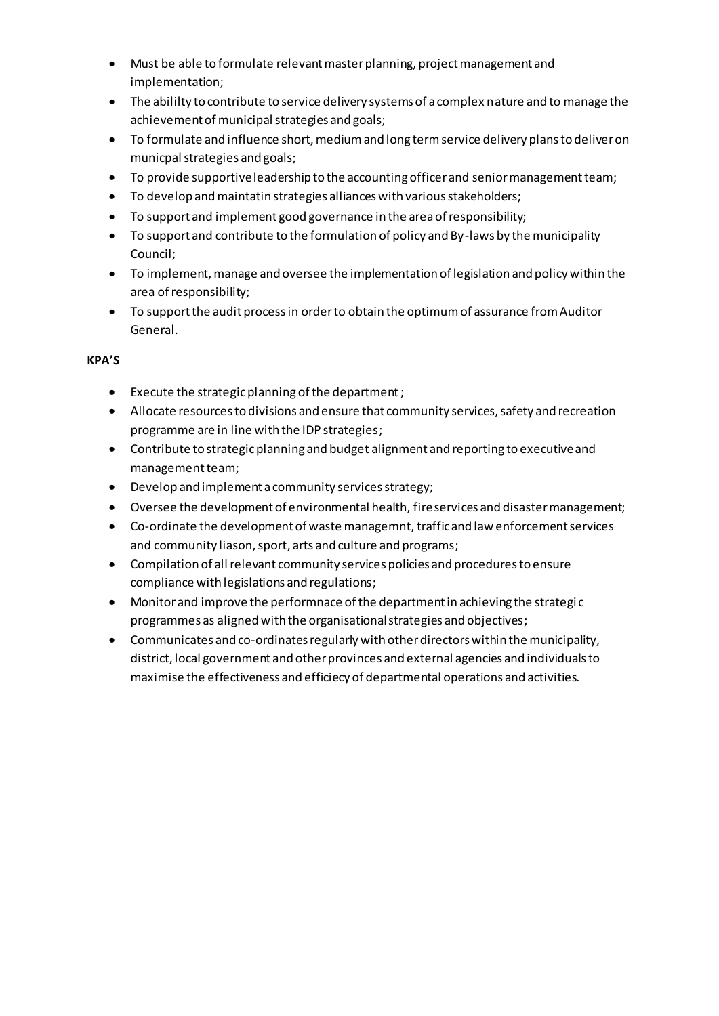- Must be able to formulate relevant master planning, project management and implementation;
- The abililty to contribute to service delivery systems of a complex nature and to manage the achievement of municipal strategies and goals;
- To formulate and influence short, medium and long term service delivery plans to deliver on municpal strategies and goals;
- To provide supportive leadership to the accounting officer and senior management team;
- To develop and maintatin strategies alliances with various stakeholders;
- To support and implement good governance in the area of responsibility;
- To support and contribute to the formulation of policy and By-laws by the municipality Council;
- To implement, manage and oversee the implementation of legislation and policy within the area of responsibility;
- To support the audit process in order to obtain the optimum of assurance from Auditor General.

### **KPA'S**

- Execute the strategic planning of the department ;
- Allocate resources to divisions and ensure that community services, safety and recreation programme are in line with the IDP strategies;
- Contribute to strategic planning and budget alignment and reporting to executive and management team;
- Develop and implement a community services strategy;
- Oversee the development of environmental health, fire services and disaster management;
- Co-ordinate the development of waste managemnt, traffic and law enforcement services and community liason, sport, arts and culture and programs;
- Compilation of all relevant community services policies and procedures to ensure compliance with legislations and regulations;
- Monitor and improve the performnace of the department in achieving the strategi c programmes as aligned with the organisational strategies and objectives;
- Communicates and co-ordinates regularly with other directors within the municipality, district, local government and other provinces and external agencies and individuals to maximise the effectiveness and efficiecy of departmental operations and activities.